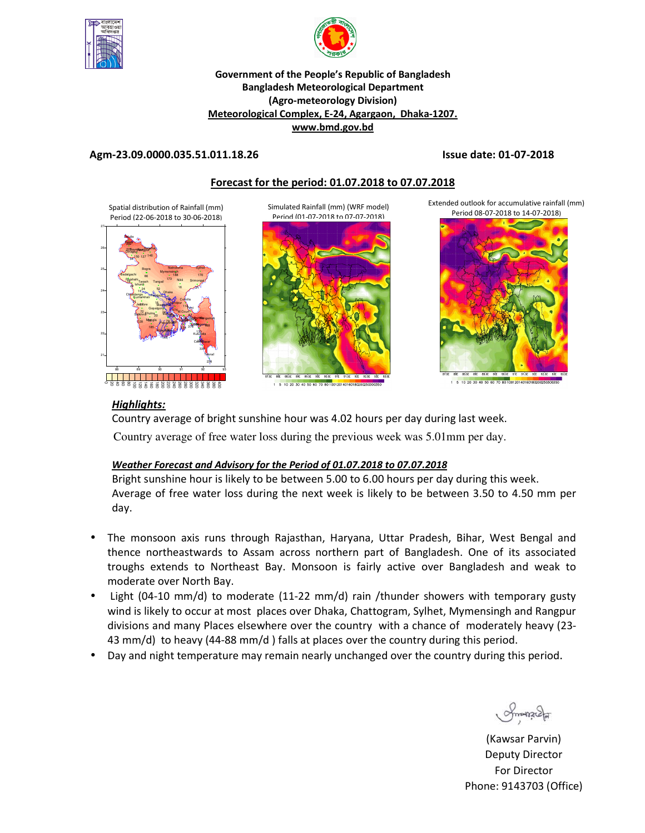



## **Government of the People's Republic of Bangladesh Bangladesh Meteorological Department (Agro-meteorology Division) Meteorological Complex, E-24, Agargaon, Dhaka-1207. www.bmd.gov.bd**

## **Agm-23.09.0000.035.51.011.18.26 Issue date: 01-07-2018**

# **Forecast for the period: 01.07.2018 to 07.07.2018**

Spatial distribution of Rainfall (mm) Period (22-06-2018 to 30-06-2018)



Simulated Rainfall (mm) (WRF model) Period (01-07-2018 to 07-07-2018)



1 5 10 20 30 40 50 60 70 80 10012014016018020025

Extended outlook for accumulative rainfall (mm) Period 08-07-2018 to 14-07-2018)



1 5 10 20 30 40 50 60 70 80 10012014016018

# *Highlights:*

Country average of bright sunshine hour was 4.02 hours per day during last week.

Country average of free water loss during the previous week was 5.01mm per day.

## *Weather Forecast and Advisory for the Period of 01.07.2018 to 07.07.2018*

Bright sunshine hour is likely to be between 5.00 to 6.00 hours per day during this week. Average of free water loss during the next week is likely to be between 3.50 to 4.50 mm per day.

- The monsoon axis runs through Rajasthan, Haryana, Uttar Pradesh, Bihar, West Bengal and thence northeastwards to Assam across northern part of Bangladesh. One of its associated troughs extends to Northeast Bay. Monsoon is fairly active over Bangladesh and weak to moderate over North Bay.
- Light (04-10 mm/d) to moderate (11-22 mm/d) rain /thunder showers with temporary gusty wind is likely to occur at most places over Dhaka, Chattogram, Sylhet, Mymensingh and Rangpur divisions and many Places elsewhere over the country with a chance of moderately heavy (23- 43 mm/d) to heavy (44-88 mm/d ) falls at places over the country during this period.
- Day and night temperature may remain nearly unchanged over the country during this period.

Smanacha

(Kawsar Parvin) Deputy Director For Director Phone: 9143703 (Office)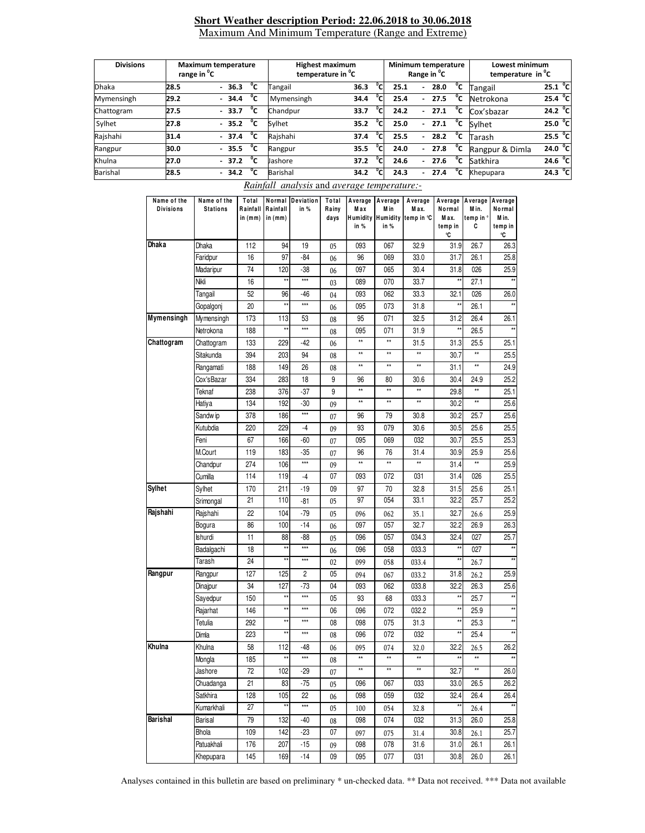#### **Short Weather description Period: 22.06.2018 to 30.06.2018** Maximum And Minimum Temperature (Range and Extreme)

| <b>Divisions</b> | <b>Maximum temperature</b><br>range in <sup>o</sup> C |  |         |    | <b>Highest maximum</b><br>temperature in <sup>o</sup> C |      |               | Minimum temperature<br>Range in <sup>o</sup> C |                          |      |    | Lowest minimum<br>temperature in C |                   |
|------------------|-------------------------------------------------------|--|---------|----|---------------------------------------------------------|------|---------------|------------------------------------------------|--------------------------|------|----|------------------------------------|-------------------|
| <b>Dhaka</b>     | 28.5                                                  |  | $-36.3$ | °c | Tangail                                                 | 36.3 | $^{\circ}$ Cl | 25.1                                           | $\overline{\phantom{a}}$ | 28.0 | °c | Tangail                            | 25.1 $^{\circ}$ C |
| Mymensingh       | 29.2                                                  |  | $-34.4$ | °c | Mymensingh                                              | 34.4 | °cı           | 25.4                                           | $\overline{\phantom{0}}$ | 27.5 | °c | Netrokona                          | 25.4 $^{\circ}$ C |
| Chattogram       | 27.5                                                  |  | $-33.7$ | °c | Chandpur                                                | 33.7 | °cı           | 24.2                                           | $\overline{\phantom{0}}$ | 27.1 | °c | Cox'sbazar                         | 24.2 $^{\circ}$ C |
| Sylhet           | 27.8                                                  |  | $-35.2$ | °c | Sylhet                                                  | 35.2 | °cı           | 25.0                                           | $\overline{\phantom{0}}$ | 27.1 | °c | Svlhet                             | 25.0 °C           |
| Rajshahi         | 31.4                                                  |  | $-37.4$ | °c | Rajshahi                                                | 37.4 | °cı           | 25.5                                           | $\overline{\phantom{0}}$ | 28.2 | °c | Tarash                             | 25.5 $^{\circ}$ C |
| Rangpur          | 30.0                                                  |  | $-35.5$ | °c | Rangpur                                                 | 35.5 | °cı           | 24.0                                           | $\overline{\phantom{0}}$ | 27.8 | °c | Rangpur & Dimla                    | 24.0 $^{\circ}$ C |
| Khulna           | 27.0                                                  |  | $-37.2$ | °c | Jashore                                                 | 37.2 | °CI           | 24.6                                           | $\overline{\phantom{0}}$ | 27.6 | °c | Satkhira                           | 24.6 $^{\circ}$ C |
| Barishal         | 28.5                                                  |  | $-34.2$ | °c | Barishal                                                | 34.2 | °c            | 24.3                                           |                          | 27.4 | °c | Khepupara                          | $24.3 \degree C$  |

*Rainfall analysis* and *average temperature:-*

| Name of the<br><b>Divisions</b> | Name of the<br><b>Stations</b> | Total<br>Rainfall<br>in (mm) | Normal<br>Rainfall<br>in (mm) | Deviation<br>in % | Total<br>Rainy<br>days | Average<br>M ax<br>Humidity<br>in % | Average<br>M in<br>in% | Average<br>M ax.<br>Humidity temp in °C | Average<br>Normal<br>M a x.<br>temp in<br>°C | Average<br>M in.<br>temp in °<br>C | Average<br>Normal<br>M in.<br>temp in<br>°C |
|---------------------------------|--------------------------------|------------------------------|-------------------------------|-------------------|------------------------|-------------------------------------|------------------------|-----------------------------------------|----------------------------------------------|------------------------------------|---------------------------------------------|
| Dhaka                           | Dhaka                          | 112                          | 94                            | 19                | 05                     | 093                                 | 067                    | 32.9                                    | 31.9                                         | 26.7                               | 26.3                                        |
|                                 | Faridpur                       | 16                           | 97                            | -84               | 06                     | 96                                  | 069                    | 33.0                                    | 31.7                                         | 26.1                               | 25.8                                        |
|                                 | Madaripur                      | 74                           | 120                           | $-38$             | 06                     | 097                                 | 065                    | 30.4                                    | 31.8                                         | 026                                | 25.9                                        |
|                                 | Nikli                          | 16                           | **                            | ***               | 03                     | 089                                 | 070                    | 33.7                                    | $\star\star$                                 | 27.1                               |                                             |
|                                 | Tangail                        | 52                           | 96                            | -46               | 04                     | 093                                 | 062                    | 33.3                                    | 32.1                                         | 026                                | 26.0                                        |
|                                 | Gopalgonj                      | 20                           | ×                             | ***               | 06                     | 095                                 | 073                    | 31.8                                    | $\star\star$                                 | 26.1                               |                                             |
| Mymensingh                      | Mymensingh                     | 173                          | 113                           | 53                | 08                     | 95                                  | 071                    | 32.5                                    | 31.2                                         | 26.4                               | 26.1                                        |
|                                 | Netrokona                      | 188                          | **                            | ***               | 08                     | 095                                 | 071                    | 31.9                                    | $\star\star$                                 | 26.5                               | $\star\star$                                |
| Chattogram                      | Chattogram                     | 133                          | 229                           | $-42$             | 06                     | **                                  | **                     | 31.5                                    | 31.3                                         | 25.5                               | 25.1                                        |
|                                 | Sitakunda                      | 394                          | 203                           | 94                | 08                     | **                                  | **                     | **                                      | 30.7                                         | **                                 | 25.5                                        |
|                                 | Rangamati                      | 188                          | 149                           | 26                | 08                     | **                                  | **                     | **                                      | 31.1                                         | **                                 | 24.9                                        |
|                                 | Cox'sBazar                     | 334                          | 283                           | 18                | 9                      | 96                                  | 80                     | 30.6                                    | 30.4                                         | 24.9                               | 25.2                                        |
|                                 | Teknaf                         | 238                          | 376                           | -37               | 9                      | **                                  | **                     | **                                      | 29.8                                         | **                                 | 25.1                                        |
|                                 | Hatiya                         | 134                          | 192                           | $-30$             | 09                     | **                                  | **                     | **                                      | 30.2                                         | **                                 | 25.6                                        |
|                                 | Sandw ip                       | 378                          | 186                           | ***               | 07                     | 96                                  | 79                     | 30.8                                    | 30.2                                         | 25.7                               | 25.6                                        |
|                                 | Kutubdia                       | 220                          | 229                           | $-4$              | 09                     | 93                                  | 079                    | 30.6                                    | 30.5                                         | 25.6                               | 25.5                                        |
|                                 | Feni                           | 67                           | 166                           | -60               | 07                     | 095                                 | 069                    | 032                                     | 30.7                                         | 25.5                               | 25.3                                        |
|                                 | M.Court                        | 119                          | 183                           | $-35$             | 07                     | 96                                  | 76                     | 31.4                                    | 30.9                                         | 25.9                               | 25.6                                        |
|                                 | Chandpur                       | 274                          | 106                           | ***               | 09                     | ××                                  | **                     | **                                      | 31.4                                         | $\star\star$                       | 25.9                                        |
|                                 | Cumilla                        | 114                          | 119                           | $-4$              | 07                     | 093                                 | 072                    | 031                                     | 31.4                                         | 026                                | 25.5                                        |
| Sylhet                          | Sylhet                         | 170                          | 211                           | -19               | 09                     | 97                                  | 70                     | 32.8                                    | 31.5                                         | 25.6                               | 25.1                                        |
|                                 | Srimongal                      | 21                           | 110                           | -81               | 05                     | 97                                  | 054                    | 33.1                                    | 32.2                                         | 25.7                               | 25.2                                        |
| Rajshahi                        | Rajshahi                       | 22                           | 104                           | $-79$             | 05                     | 096                                 | 062                    | 35.1                                    | 32.7                                         | 26.6                               | 25.9                                        |
|                                 | Bogura                         | 86                           | 100                           | $-14$             | 06                     | 097                                 | 057                    | 32.7                                    | 32.2                                         | 26.9                               | 26.3                                        |
|                                 | Ishurdi                        | 11                           | 88                            | -88               | 05                     | 096                                 | 057                    | 034.3                                   | 32.4                                         | 027                                | 25.7                                        |
|                                 | Badalgachi                     | 18                           | ××                            | ***               | 06                     | 096                                 | 058                    | 033.3                                   | $\star\star$                                 | 027                                |                                             |
|                                 | Tarash                         | 24                           | **                            | ***               | 02                     | 099                                 | 058                    | 033.4                                   | $\star\star$                                 | 26.7                               |                                             |
| Rangpur                         | Rangpur                        | 127                          | 125                           | 2                 | 05                     | 094                                 | 067                    | 033.2                                   | 31.8                                         | 26.2                               | 25.9                                        |
|                                 | Dinajpur                       | 34                           | 127                           | -73               | 04                     | 093                                 | 062                    | 033.8                                   | 32.2                                         | 26.3                               | 25.6                                        |
|                                 | Sayedpur                       | 150                          | **                            | ***               | 05                     | 93                                  | 68                     | 033.3                                   | $\star\star$                                 | 25.7                               | $\star\star$                                |
|                                 | Rajarhat                       | 146                          | **                            | ***               | 06                     | 096                                 | 072                    | 032.2                                   | $\star\star$                                 | 25.9                               | **                                          |
|                                 | Tetulia                        | 292                          | **                            | ***               | 08                     | 098                                 | 075                    | 31.3                                    | $\star\star$                                 | 25.3                               | $\star\star$                                |
|                                 | Dimla                          | 223                          | ×                             | ***               | 08                     | 096                                 | 072                    | 032                                     | $\star\star$                                 | 25.4                               |                                             |
| Khulna                          | Khulna                         | 58                           | 112                           | -48               | 06                     | 095                                 | 074                    | 32.0                                    | 32.2                                         | 26.5                               | 26.2                                        |
|                                 | Mongla                         | 185                          | **                            | ***               | 08                     | **                                  | ××                     | **                                      | $\star\star$                                 | xx                                 | **                                          |
|                                 | Jashore                        | 72                           | 102                           | $-29$             | 07                     | **                                  | $\star\star$           | $\star\star$                            | 32.7                                         | $\star\star$                       | 26.0                                        |
|                                 | Chuadanga                      | 21                           | 83                            | $-75$             | 05                     | 096                                 | 067                    | 033                                     | 33.0                                         | 26.5                               | 26.2                                        |
|                                 | <b>Satkhira</b>                | 128                          | 105                           | 22                | 06                     | 098                                 | 059                    | 032                                     | 32.4                                         | 26.4                               | 26.4                                        |
|                                 | Kumarkhali                     | 27                           | **                            | ***               | 05                     | 100                                 | 054                    | 32.8                                    | $\star\star$                                 | 26.4                               | $\star\star$                                |
| Barishal                        | Barisal                        | 79                           | 132                           | $-40$             | 08                     | 098                                 | 074                    | 032                                     | 31.3                                         | 26.0                               | 25.8                                        |
|                                 | Bhola                          | 109                          | 142                           | -23               | 07                     | 097                                 | 075                    | 31.4                                    | 30.8                                         | 26.1                               | 25.7                                        |
|                                 | Patuakhali                     | 176                          | 207                           | $-15$             | 09                     | 098                                 | 078                    | 31.6                                    | 31.0                                         | 26.1                               | 26.1                                        |
|                                 | Khepupara                      | 145                          | 169                           | $-14$             | 09                     | 095                                 | 077                    | 031                                     | 30.8                                         | 26.0                               | 26.1                                        |

Analyses contained in this bulletin are based on preliminary \* un-checked data. \*\* Data not received. \*\*\* Data not available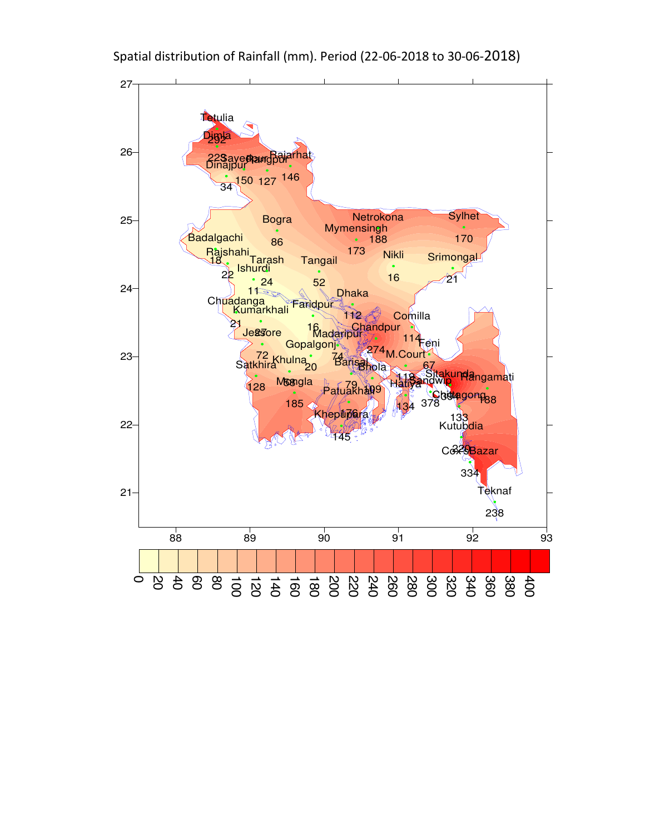

Spatial distribution of Rainfall (mm). Period (22-06-2018 to 30-06-2018)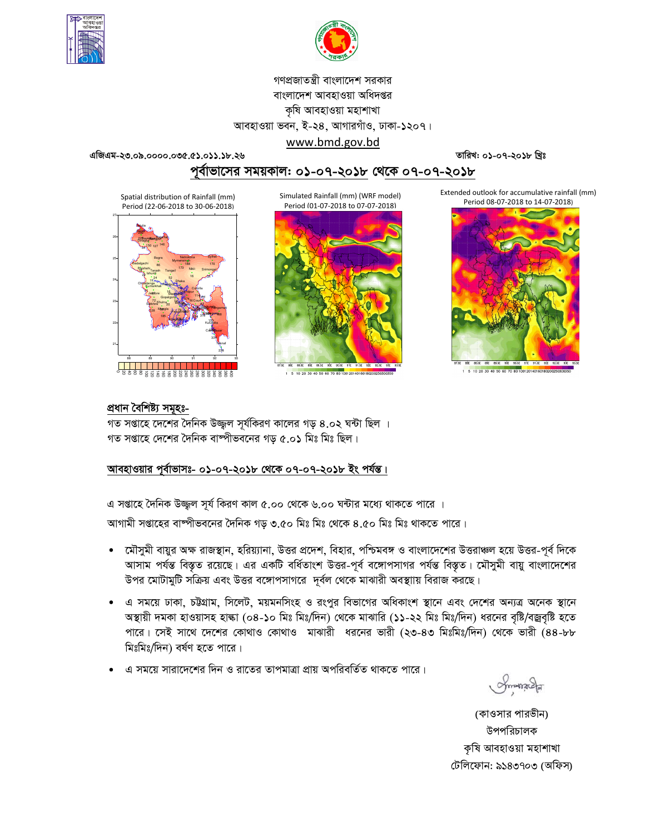



গণপ্রজাতন্ত্রী বাংলাদেশ সরকার বাংলাদেশ আবহাওয়া অধিদপ্তর কৃষি আবহাওয়া মহাশাখা আবহাওয়া ভবন, ই-২৪, আগারগাঁও, ঢাকা-১২০৭।

এজিএম-২৩.০৯.০০০০.০৩৫.৫১.০১১.১৮.২৬

তারিখ: ০১-০৭-২০১৮ খ্রিঃ

# পূর্বাভাসের সময়কাল: ০১-০৭-২০১৮ থে<u>কে ০৭-০৭-২০১৮</u>

www.bmd.gov.bd

Spatial distribution of Rainfall (mm) Period (22-06-2018 to 30-06-2018)



Simulated Rainfall (mm) (WRF model) Period (01-07-2018 to 07-07-2018)



1 5 10 20 30 40 50 60 70 80 1001 2014 0180180200

Extended outlook for accumulative rainfall (mm) Period 08-07-2018 to 14-07-2018)



10.20.30.40.50.60.70.80.1001201401

### প্ৰধান বৈশিষ্ট্য সমূহঃ-

গত সপ্তাহে দেশের দৈনিক উজ্জুল সূর্যকিরণ কালের গড় ৪.০২ ঘন্টা ছিল । গত সপ্তাহে দেশের দৈনিক বাষ্পীভবনের গড ৫.০১ মিঃ মিঃ ছিল।

# আবহাওয়ার পূর্বাভাসঃ- ০১-০৭-২০১৮ থেকে ০৭-০৭-২০১৮ ইং পর্যন্ত।

এ সপ্তাহে দৈনিক উজ্জল সূর্য কিরণ কাল ৫.০০ থেকে ৬.০০ ঘন্টার মধ্যে থাকতে পারে ।

আগামী সপ্তাহের বাষ্পীভবনের দৈনিক গড় ৩.৫০ মিঃ মিঃ থেকে ৪.৫০ মিঃ মিঃ থাকতে পারে।

- মৌসুমী বায়ুর অক্ষ রাজস্থান, হরিয়্যানা, উত্তর প্রদেশ, বিহার, পশ্চিমবঙ্গ ও বাংলাদেশের উত্তরাঞ্চল হয়ে উত্তর-পূর্ব দিকে  $\bullet$ আসাম পর্যন্ত বিস্তৃত রয়েছে। এর একটি বর্ধিতাংশ উত্তর-পূর্ব বঙ্গোপসাগর পর্যন্ত বিস্তৃত। মৌসুমী বায়ু বাংলাদেশের উপর মোটামুটি সক্রিয় এবং উত্তর বঙ্গোপসাগরে দর্বল থেকে মাঝারী অবস্থায় বিরাজ করছে।
- এ সময়ে ঢাকা, চট্টগ্রাম, সিলেট, ময়মনসিংহ ও রংপুর বিভাগের অধিকাংশ স্থানে এবং দেশের অন্যত্র অনেক স্থানে অস্থায়ী দমকা হাওয়াসহ হাল্কা (০৪-১০ মিঃ মিঃ/দিন) থেকে মাঝারি (১১-২২ মিঃ মিঃ/দিন) ধরনের বৃষ্টি/বজ্রবৃষ্টি হতে পারে। সেই সাথে দেশের কোথাও কোথাও মাঝারী ধরনের ভারী (২৩-৪৩ মিঃমিঃ/দিন) থেকে ভারী (৪৪-৮৮ মিঃমিঃ/দিন) বর্ষণ হতে পারে।
- এ সময়ে সারাদেশের দিন ও রাতের তাপমাত্রা প্রায় অপরিবর্তিত থাকতে পারে।

**Amona** 

(কাওসার পারভীন) উপপরিচালক কৃষি আবহাওয়া মহাশাখা টেলিফোন: ৯১৪৩৭০৩ (অফিস)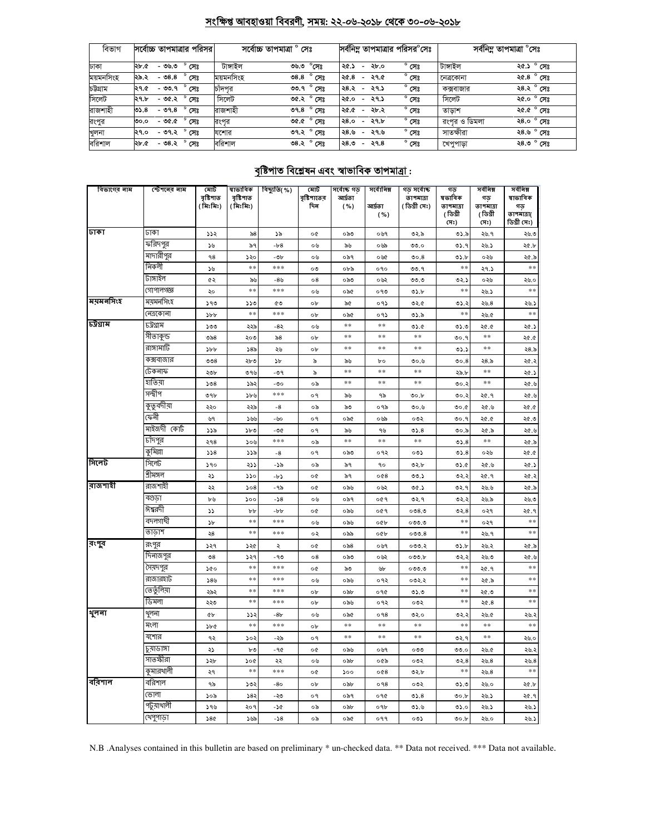# সংক্ষিপ্ত আবহাওয়া বিবরণী, সময়: ২২-০৬-২০১৮ থেকে ৩০-০৬-২০১৮

| বিভাগ     | সর্বোচ্চ তাপমাত্রার পরিসর         | সৰ্বোচ্চ তাপমাত্ৰা ° সেঃ         | সর্বনিম তাপমাত্রার পরিসর <sup>o</sup> সেঃ                  | সর্বনিম্ন তাপমাত্রা °সেঃ         |  |  |
|-----------|-----------------------------------|----------------------------------|------------------------------------------------------------|----------------------------------|--|--|
| ঢাকা      | ২৮.৫<br>- ৩৬.৩<br>সেঃ             | টাঙ্গাইল<br>$^\circ$ সেঃ<br>৩৬.৩ | $^{\circ}$ সেঃ<br>২৫.১<br>২৮.০<br>$\overline{\phantom{0}}$ | টাঙ্গাইল<br>২৫.১ ° সেঃ           |  |  |
| ময়মনসিংহ | $-08.8$<br>সেঃ<br>২৯.২            | ময়মনসিংহ<br>৩৪.৪ ° সেঃ          | $^{\circ}$ সেঃ<br>২৫.৪<br>২৭.৫<br>$\overline{\phantom{a}}$ | ২৫.৪ $^{\circ}$ সেঃ<br>নেত্ৰকোনা |  |  |
| চউগ্ৰাম   | ২৭.৫<br>- ৩৩.৭<br>সেঃ             | ৩৩.৭° সেঃ<br>চাঁদপুর             | $^{\circ}$ সেঃ<br>28.2<br>২৭.১<br>$\overline{\phantom{a}}$ | ২৪.২ ° সেঃ<br>কক্সবাজার          |  |  |
| সিলেট     | - ৩৫.২<br>২৭.৮<br>সেঃ             | সিলেট<br>৩৫.২ ° সেঃ              | $^{\circ}$ সেঃ<br>২৭.১<br>২৫.০<br>$\overline{\phantom{a}}$ | সিলেট<br>২৫.০ ° সেঃ              |  |  |
| রাজশাহী   | $^{\circ}$ সেঃ<br>$-99.8$<br>৩১.৪ | রাজশাহী<br><b>ి.8</b> ి সেঃ      | $^{\circ}$ সেঃ<br>২৫.৫<br>২৮.২<br>$\overline{\phantom{0}}$ | ২৫.৫ ° সেঃ<br>তাডাশ              |  |  |
| রংপুর     | $^{\circ}$ সেঃ<br>- ৩৫.৫<br>৩০.০  | ৩৫.৫ $^{\circ}$ সেঃ<br>রংপর      | $^{\circ}$ সেঃ<br>২৭.৮<br>28.0<br>$\overline{\phantom{a}}$ | রংপর ও ডিমলা<br>২৪.০ ° সেঃ       |  |  |
| খুলনা     | $^{\circ}$ সেঃ<br>২৭.০<br>- ৩৭.২  | ৩৭.২ $^{\circ}$ সেঃ<br>যশোর      | $^{\circ}$ সেঃ<br>২৪.৬<br>২৭.৬<br>$\overline{a}$           | ২৪.৬ ° সেঃ<br>সাতক্ষীরা          |  |  |
| বরিশাল    | $^{\circ}$ সেঃ<br>- ৩৪.২<br>২৮.৫  | বরিশাল<br>৩৪.২ ° সেঃ             | $^{\circ}$ সেঃ<br>২৭.৪<br>28.0<br>$\overline{\phantom{a}}$ | ২৪.৩ ° সেঃ<br>খেপুপাড়া          |  |  |

# <u> বৃষ্টিপাত বিশ্লেষন এবং স্বাভাবিক তাপমাত্ৰা :</u>

| বিভাগের নাম | স্টেশনের নাম | মোট<br>বৃষ্টিপাত<br>(মিঃমিঃ) | ষাভাবিক<br>বৃষ্টিপাত<br>(মিঃমিঃ) | বিছ্যুতি(%) | মোট<br>বৃষ্টিশাতের<br>দিন | সৰ্বোচ্চ গড়<br>আৰ্দ্ৰতা<br>( %) | সৰ্বোনিম্ন<br>আৰ্দ্ৰতা<br>( %) | গড় সৰ্বোচ্চ<br>তাপমাত্রা<br>( ডিগ্ৰী সেঃ) | গড<br>ষভাবিক<br>তাপমাত্রা<br>(ডিগ্ৰী | সৰ্বনিম্ন<br>গড<br>তাপমাত্রা<br>(ডিগ্ৰী | সৰ্বনিম্ন<br>ষাভাবিক<br>গড<br>তাপমাত্রা( |
|-------------|--------------|------------------------------|----------------------------------|-------------|---------------------------|----------------------------------|--------------------------------|--------------------------------------------|--------------------------------------|-----------------------------------------|------------------------------------------|
|             |              |                              |                                  |             |                           |                                  |                                |                                            | (সঃ)                                 | সেঃ)                                    | ডিগ্ৰী সেঃ)                              |
| ঢাকা        | ঢাকা         | 552                          | ৯ $8$                            | ১৯          | o¢                        | ಂನಿಲ                             | ০৬৭                            | ৩২.৯                                       | ৩১.৯                                 | ২৬.৭                                    | ২৬.৩                                     |
|             | ফরিদপুর      | ১৬                           | ৯৭                               | $-b-8$      | ০৬                        | ৯৬                               | ০৬৯                            | ৩৩.০                                       | ৩১.৭                                 | ২৬.১                                    | ২৫.৮                                     |
|             | মাদারীপুর    | ٩8                           | ১২০                              | -06         | ০৬                        | ০৯৭                              | ০৬৫                            | 00.8                                       | ৩১.৮                                 | ০২৬                                     | ২৫.৯                                     |
|             | নিকলী        | ১৬                           | $*$                              | ***         | ০৩                        | ০৮৯                              | ०१०                            | ৩৩.৭                                       | $* *$                                | ২৭.১                                    | $\ast\ast$                               |
|             | টাঙ্গাইল     | ৫২                           | ৯৬                               | -8৬         | $^{\circ8}$               | ಂನಿಲ                             | ০৬২                            | 0.00                                       | ৩২.১                                 | ০২৬                                     | ২৬.০                                     |
|             | গোপালগজ্ঞ    | ২০                           | **                               | ***         | ০৬                        | ০৯৫                              | ०१७                            | ৩১.৮                                       | **                                   | ২৬.১                                    | $\ast$ $\ast$                            |
| ম্যমনসিংহ   | ময়মনসিংহ    | ১৭৩                          | ১১৩                              | ৫৩          | ob                        | ৯৫                               | ०१১                            | ৩২.৫                                       | ৩১.২                                 | ২৬.8                                    | 28.2                                     |
|             | নেত্ৰকোনা    | $\delta b$                   | $**$                             | ***         | ob                        | ০৯৫                              | ०१১                            | ৩১.৯                                       | $* *$                                | ২৬.৫                                    | $\ast$ $\ast$                            |
| চউগ্ৰাম     | চট্টগ্রাম    | ১৩৩                          | ২২৯                              | -8২         | ০৬                        | **                               | $\ast$ $\ast$                  | 0.6                                        | 0.50                                 | 20.0                                    | ২৫.১                                     |
|             | সীতাকুন্ড    | ৩৯৪                          | ২০৩                              | ৯ $8$       | ob                        | $**$                             | $* *$                          | $* *$                                      | ৩০.৭                                 | $\pm$ $\pm$                             | ১. ১২                                    |
|             | রাঙ্গামার্টি | $\delta b$                   | 585                              | ২৬          | ob                        | **                               | **                             | **                                         | ৩১.১                                 | **                                      | 28.5                                     |
|             | কক্সবাজার    | OO8                          | ২৮৩                              | $\delta$    | ৯                         | ৯৬                               | bο                             | 0.9                                        | 00.8                                 | ২৪.৯                                    | ২৫.২                                     |
|             | টেকনাফ       | ২৩৮                          | ৩৭৬                              | -৩৭         | ৯                         | $**$                             | **                             | $**$                                       | ২৯.৮                                 | $\ast$ $\ast$                           | ২৫.১                                     |
|             | হাতিয়া      | 508                          | ১৯২                              | -৩০         | ০৯                        | $\ast$                           | $* *$                          | $\ast$ $\ast$                              | ৩০.২                                 | $\ast$                                  | ২৫.৬                                     |
|             | সন্দ্বীপ     | ৩৭৮                          | ১৮৬                              | ***         | o٩                        | ৯৬                               | ৭৯                             | 00.b                                       | ৩০.২                                 | ২৫.৭                                    | ২৫.৬                                     |
|             | কুতুবদীয়া   | ২২০                          | ২২৯                              | $-8$        | ০৯                        | ৯৩                               | ০৭৯                            | ৩০.৬                                       | 0.00                                 | ৩.১২                                    | ২৫.৫                                     |
|             | কেনী         | ৬৭                           | ১৬৬                              | -৬০         | o٩                        | ০৯৫                              | ০৬৯                            | ০৩২                                        | ৩০.৭                                 | 20.0                                    | ২৫.৩                                     |
|             | মাইজদী কোর্ট | ১১৯                          | ১৮৩                              | -৩৫         | o٩                        | ৯৬                               | ৭৬                             | 05.8                                       | ৩০.৯                                 | ২৫.৯                                    | ২৫.৬                                     |
|             | চাঁদপুর      | ২৭৪                          | ১০৬                              | ***         | ০৯                        | $\ast$                           | $**$                           | $**$                                       | 05.8                                 | $\ast$                                  | ২৫.৯                                     |
|             | কুমিল্লা     | 558                          | ১১৯                              | -8          | o٩                        | ০৯৩                              | ०१२                            | ০৩১                                        | ৩১. $8$                              | ০২৬                                     | ২৫.৫                                     |
| সিলেট       | সিলেট        | 590                          | ২১১                              | -১৯         | ০৯                        | ৯৭                               | ٩o                             | ৩২.৮                                       | ৩১.৫                                 | ২৫.৬                                    | ২৫.১                                     |
|             | শ্ৰীমঙ্গল    | ২১                           | 550                              | -b)         | o¢                        | ৯৭                               | 0@8                            | 00.5                                       | ৩২.২                                 | ২৫.৭                                    | ২৫.২                                     |
| বাজশাহী     | রাজশাহী      | ২২                           | 508                              | -৭৯         | o¢                        | ০৯৬                              | ০৬২                            | 00.5                                       | ৩২.৭                                 | ২৬.৬                                    | ২৫.৯                                     |
|             | বগুডা        | ৮৬                           | 500                              | -১৪         | ০৬                        | ০৯৭                              | ०৫१                            | ৩২.৭                                       | ৩২.২                                 | ২৬.৯                                    | ২৬.৩                                     |
|             | ঈশ্বরদী      | دد                           | ρp                               | $-b$        | o¢                        | ০৯৬                              | ०৫१                            | 0.80                                       | ৩২.৪                                 | ०२१                                     | ২৫.৭                                     |
|             | বদলগাঘী      | $\mathcal{P}$                | $*$                              | ***         | ০৬                        | ০৯৬                              | oQb                            | ೦೦೦.೦                                      | $* *$                                | ०२१                                     | $* *$                                    |
|             | তাডাশ        | ২৪                           | $\pm$ $\pm$                      | ***         | ০২                        | ০৯৯                              | ০৫৮                            | 000.8                                      | **                                   | ২৬.৭                                    | **                                       |
| রংপুর       | রংপুর        | ১২৭                          | ১২৫                              | ২           | o¢                        | $\circ$ ನಿ $8$                   | ০৬৭                            | ০৩৩.২                                      | ৩১.৮                                 | ২৬.২                                    | ২৫.৯                                     |
|             | দিনাজপুর     | $\mathbin{\textcirc} 8$      | ১২৭                              | -৭৩         | $\circ 8$                 | ಂನಿಲ                             | ০৬২                            | ০৩৩.৮                                      | ৩২.২                                 | ২৬.৩                                    | 2.95                                     |
|             | সৈয়দপুর     | ১৫০                          | $\ast$ $\ast$                    | ***         | o¢                        | ৯৩                               | ৬৮                             | ০৩৩.৩                                      | $* *$                                | ২৫.৭                                    | $\ast$ $\ast$                            |
|             | রাজারহাট     | 586                          | $\ast$ $\ast$                    | ***         | ০৬                        | ০৯৬                              | ०१२                            | ০৩২.২                                      | $\pm$ $\pm$                          | ২৫.৯                                    | $* *$                                    |
|             | তেতুঁলিয়া   | ২৯২                          | $\pm$ $\pm$                      | ***         | ob                        | ০৯৮                              | ०१৫                            | 0.0                                        | $\pm$ $\pm$                          | ৩.১২                                    | $* *$                                    |
|             | ডিমলা        | ২২৩                          | $**$                             | ***         | ob                        | ০৯৬                              | ०१२                            | ०७२                                        | $**$                                 | 20.8                                    | $\ast$ $\ast$                            |
| থूलना       | থুলনা        | ¢Ъ                           | ډدد                              | $-8b$       | ০৬                        | ০৯৫                              | 098                            | ৩২.০                                       | ৩২.২                                 | ২৬.৫                                    | ২৬.২                                     |
|             | মংলা         | ১৮৫                          | $**$                             | ***         | ob                        | $**$                             | $**$                           | $**$                                       | $**$                                 | $\ast\ast$                              | $**$                                     |
|             | যশোর         | ৭২                           | ১০২                              | -২৯         | o٩                        | $\ast\ast$                       | $**$                           | $\ast$ $\ast$                              | ৩২.৭                                 | $\ast$ $\ast$                           | ২৬.০                                     |
|             | চুয়াডাঙ্গা  | ২১                           | ৮৩                               | -90         | o¢                        | ০৯৬                              | ০৬৭                            | ೲ                                          | ৩৩.০                                 | ২৬.৫                                    | ২৬.২                                     |
|             | সাতস্কীরা    | ১২৮                          | ১০৫                              | ২২          | ০৬                        | ০৯৮                              | ০৫৯                            | ০৩২                                        | ৩২. $8$                              | ২৬.৪                                    | ২৬.8                                     |
|             | কুমারখালী    | ২৭                           | $\ast$ $\ast$                    | $***$       | o¢                        | ১০০                              | 0@8                            | ৩২.৮                                       | $**$                                 | ২৬.৪                                    | $* *$                                    |
| বরিশাল      | বারশাল       | ৭৯                           | ১৩২                              | -80         | ob                        | ০৯৮                              | 098                            | ০৩২                                        | 0.20                                 | ২৬.০                                    | ২৫.৮                                     |
|             | ভোলা         | ১০৯                          | 583                              | -২৩         | ०१                        | ০৯৭                              | ०१৫                            | ৩১. $8$                                    | ৩০.৮                                 | ২৬.১                                    | ২৫.৭                                     |
|             | পটুয়াথালী   | ১৭৬                          | ২০৭                              | -১৫         | ০৯                        | ০৯৮                              | ०१৮                            | 0.6                                        | ৩১.০                                 | ২৬.১                                    | ২৬.১                                     |
|             | খেপুপাড়া    | 58¢                          | ১৬৯                              | $-58$       | ০৯                        | ০৯৫                              | ०११                            | ০৩১                                        | 00.b                                 | ২৬.০                                    | ২৬.১                                     |

N.B .Analyses contained in this bulletin are based on preliminary \* un-checked data. \*\* Data not received. \*\*\* Data not available.